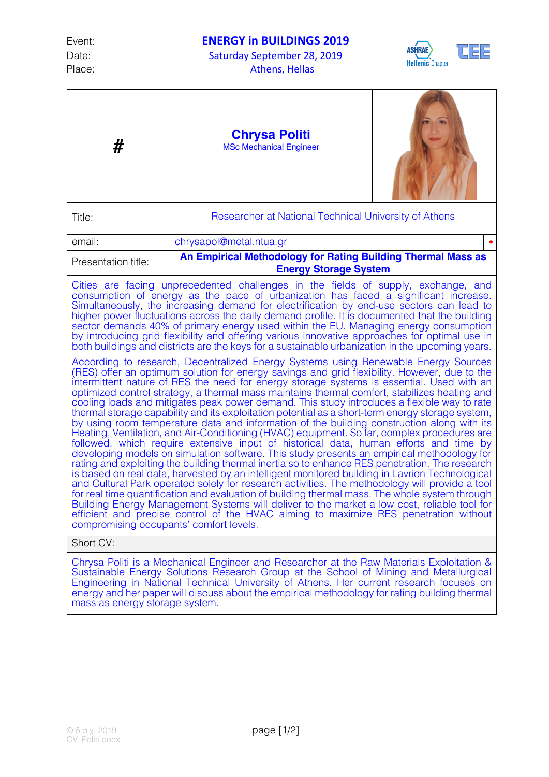Date: Saturday September 28, 2019 Place: Athens, Hellas



| #                                                                                                                                                                                                                                                                                                                                                                                                                                                                                                                                                                                                                                                                                                                                                                                                                                                                                                                                                                                                                                                                                                                                                                                                                                                                                                                                                                                                                                                                                                                                                                                                                                                                                                                                                                                                                                                                                                                                                                                                                                                                                                                                                                                                                                                                                                                                                                                               | <b>Chrysa Politi</b><br><b>MSc Mechanical Engineer</b>                                       |  |
|-------------------------------------------------------------------------------------------------------------------------------------------------------------------------------------------------------------------------------------------------------------------------------------------------------------------------------------------------------------------------------------------------------------------------------------------------------------------------------------------------------------------------------------------------------------------------------------------------------------------------------------------------------------------------------------------------------------------------------------------------------------------------------------------------------------------------------------------------------------------------------------------------------------------------------------------------------------------------------------------------------------------------------------------------------------------------------------------------------------------------------------------------------------------------------------------------------------------------------------------------------------------------------------------------------------------------------------------------------------------------------------------------------------------------------------------------------------------------------------------------------------------------------------------------------------------------------------------------------------------------------------------------------------------------------------------------------------------------------------------------------------------------------------------------------------------------------------------------------------------------------------------------------------------------------------------------------------------------------------------------------------------------------------------------------------------------------------------------------------------------------------------------------------------------------------------------------------------------------------------------------------------------------------------------------------------------------------------------------------------------------------------------|----------------------------------------------------------------------------------------------|--|
| Title:                                                                                                                                                                                                                                                                                                                                                                                                                                                                                                                                                                                                                                                                                                                                                                                                                                                                                                                                                                                                                                                                                                                                                                                                                                                                                                                                                                                                                                                                                                                                                                                                                                                                                                                                                                                                                                                                                                                                                                                                                                                                                                                                                                                                                                                                                                                                                                                          | Researcher at National Technical University of Athens                                        |  |
| email:                                                                                                                                                                                                                                                                                                                                                                                                                                                                                                                                                                                                                                                                                                                                                                                                                                                                                                                                                                                                                                                                                                                                                                                                                                                                                                                                                                                                                                                                                                                                                                                                                                                                                                                                                                                                                                                                                                                                                                                                                                                                                                                                                                                                                                                                                                                                                                                          | chrysapol@metal.ntua.gr                                                                      |  |
| Presentation title:                                                                                                                                                                                                                                                                                                                                                                                                                                                                                                                                                                                                                                                                                                                                                                                                                                                                                                                                                                                                                                                                                                                                                                                                                                                                                                                                                                                                                                                                                                                                                                                                                                                                                                                                                                                                                                                                                                                                                                                                                                                                                                                                                                                                                                                                                                                                                                             | An Empirical Methodology for Rating Building Thermal Mass as<br><b>Energy Storage System</b> |  |
| Cities are facing unprecedented challenges in the fields of supply, exchange, and<br>consumption of energy as the pace of urbanization has faced a significant increase.<br>Simultaneously, the increasing demand for electrification by end-use sectors can lead to<br>higher power fluctuations across the daily demand profile. It is documented that the building<br>sector demands 40% of primary energy used within the EU. Managing energy consumption<br>by introducing grid flexibility and offering various innovative approaches for optimal use in<br>both buildings and districts are the keys for a sustainable urbanization in the upcoming years.<br>According to research, Decentralized Energy Systems using Renewable Energy Sources<br>(RES) offer an optimum solution for energy savings and grid flexibility. However, due to the<br>intermittent nature of RES the need for energy storage systems is essential. Used with an<br>optimized control strategy, a thermal mass maintains thermal comfort, stabilizes heating and<br>cooling loads and mitigates peak power demand. This study introduces a flexible way to rate<br>thermal storage capability and its exploitation potential as a short-term energy storage system,<br>by using room temperature data and information of the building construction along with its<br>Heating, Ventilation, and Air-Conditioning (HVAC) equipment. So far, complex procedures are<br>followed, which require extensive input of historical data, human efforts and time by<br>developing models on simulation software. This study presents an empirical methodology for<br>rating and exploiting the building thermal inertia so to enhance RES penetration. The research<br>is based on real data, harvested by an intelligent monitored building in Lavrion Technological<br>and Cultural Park operated solely for research activities. The methodology will provide a tool<br>for real time quantification and evaluation of building thermal mass. The whole system through<br>Building Energy Management Systems will deliver to the market a low cost, reliable tool for<br>efficient and precise control of the HVAC aiming to maximize RES penetration without<br>compromising occupants' comfort levels.<br>Short CV:<br>Chrysa Politi is a Mechanical Engineer and Researcher at the Raw Materials Exploitation & |                                                                                              |  |

Sustainable Energy Solutions Research Group at the School of Mining and Metallurgical Engineering in National Technical University of Athens. Her current research focuses on energy and her paper will discuss about the empirical methodology for rating building thermal mass as energy storage system.